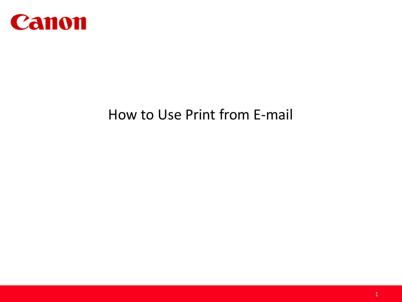

# How to Use Print from E-mail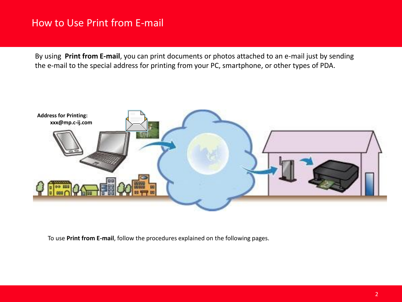## How to Use Print from E-mail

By using **Print from E-mail**, you can print documents or photos attached to an e-mail just by sending the e-mail to the special address for printing from your PC, smartphone, or other types of PDA.



To use **Print from E-mail**, follow the procedures explained on the following pages.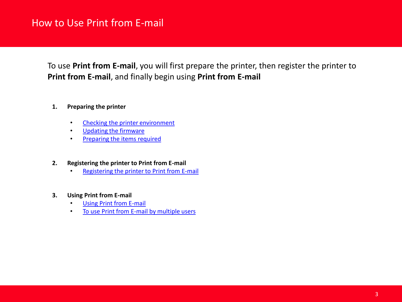## How to Use Print from E-mail

To use **Print from E-mail**, you will first prepare the printer, then register the printer to **Print from E-mail**, and finally begin using **Print from E-mail** 

- **1. Preparing the printer**
	- [Checking the printer](https://gcrmp01.cgn.canon.co.jp/preview/RhpXLLH64FnRyhHrD4M9w8h69wmn28v2FqkhVR4zbdNh613hVnnv!-2087511146!1361144247262/820180500000EN_20130218083852.xml) [e](#page-3-0)[nvironment](https://gcrmp01.cgn.canon.co.jp/preview/RhpXLLH64FnRyhHrD4M9w8h69wmn28v2FqkhVR4zbdNh613hVnnv!-2087511146!1361144247262/820180500000EN_20130218083852.xml)
	- [Updating the firmware](https://gcrmp01.cgn.canon.co.jp/preview/RhpXLLH64FnRyhHrD4M9w8h69wmn28v2FqkhVR4zbdNh613hVnnv!-2087511146!1361144247262/820180500000EN_20130218083852.xml)
	- [Preparing the items](https://gcrmp01.cgn.canon.co.jp/preview/RhpXLLH64FnRyhHrD4M9w8h69wmn28v2FqkhVR4zbdNh613hVnnv!-2087511146!1361144247262/820180500000EN_20130218083852.xml) [r](#page-4-0)[equired](https://gcrmp01.cgn.canon.co.jp/preview/RhpXLLH64FnRyhHrD4M9w8h69wmn28v2FqkhVR4zbdNh613hVnnv!-2087511146!1361144247262/820180500000EN_20130218083852.xml)
- **2. Registering the printer to Print from E-mail**
	- [Registering the printer to Print from](https://gcrmp01.cgn.canon.co.jp/preview/RhpXLLH64FnRyhHrD4M9w8h69wmn28v2FqkhVR4zbdNh613hVnnv!-2087511146!1361144247262/820180500000EN_20130218083852.xml) [E](http://www.usa.canon.com/CUSA/assets/app/pdf/email/Register_PFE_MG5420.pdf)[-](https://gcrmp01.cgn.canon.co.jp/preview/RhpXLLH64FnRyhHrD4M9w8h69wmn28v2FqkhVR4zbdNh613hVnnv!-2087511146!1361144247262/820180500000EN_20130218083852.xml)[m](http://www.usa.canon.com/CUSA/assets/app/pdf/email/Register_PFE_MG5420.pdf)[ail](https://gcrmp01.cgn.canon.co.jp/preview/RhpXLLH64FnRyhHrD4M9w8h69wmn28v2FqkhVR4zbdNh613hVnnv!-2087511146!1361144247262/820180500000EN_20130218083852.xml)
- **3. Using Print from E-mail**
	- **[Using Print from](https://gcrmp01.cgn.canon.co.jp/preview/RhpXLLH64FnRyhHrD4M9w8h69wmn28v2FqkhVR4zbdNh613hVnnv!-2087511146!1361144247262/820180500000EN_20130218083852.xml) [E-](http://www.usa.canon.com/CUSA/assets/app/pdf/email/Printing_With_PFE.pdf)[mail](https://gcrmp01.cgn.canon.co.jp/preview/RhpXLLH64FnRyhHrD4M9w8h69wmn28v2FqkhVR4zbdNh613hVnnv!-2087511146!1361144247262/820180500000EN_20130218083852.xml)**
	- [To use Print from](https://gcrmp01.cgn.canon.co.jp/preview/RhpXLLH64FnRyhHrD4M9w8h69wmn28v2FqkhVR4zbdNh613hVnnv!-2087511146!1361144247262/820180500000EN_20130218083852.xml) [E](http://www.usa.canon.com/CUSA/assets/app/pdf/email/Printing_With_PFE.pdf#page=3)[-](https://gcrmp01.cgn.canon.co.jp/preview/RhpXLLH64FnRyhHrD4M9w8h69wmn28v2FqkhVR4zbdNh613hVnnv!-2087511146!1361144247262/820180500000EN_20130218083852.xml)[m](http://www.usa.canon.com/CUSA/assets/app/pdf/email/Printing_With_PFE.pdf#page=3)[ail by multiple users](https://gcrmp01.cgn.canon.co.jp/preview/RhpXLLH64FnRyhHrD4M9w8h69wmn28v2FqkhVR4zbdNh613hVnnv!-2087511146!1361144247262/820180500000EN_20130218083852.xml)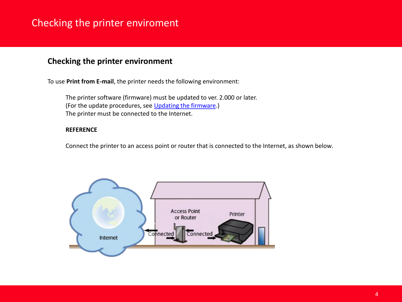# <span id="page-3-0"></span>Checking the printer enviroment

## **Checking the printer environment**

To use **Print from E-mail**, the printer needs the following environment:

The printer software (firmware) must be updated to ver. 2.000 or later. (Forthe update procedures, see [U](http://www.usa.canon.com/CUSA/assets/app/pdf/email/Update_The_Firmware_MG5420.pdf)[pdating](#page-4-1) [the](#page-4-1) [firmware](#page-4-1)[.\)](http://www.usa.canon.com/CUSA/assets/app/pdf/printemail/Update_The_Firmware_MG5420.pdf) The printer must be connected to the Internet.

#### **REFERENCE**

Connect the printer to an access point or router that is connected to the Internet, as shown below.